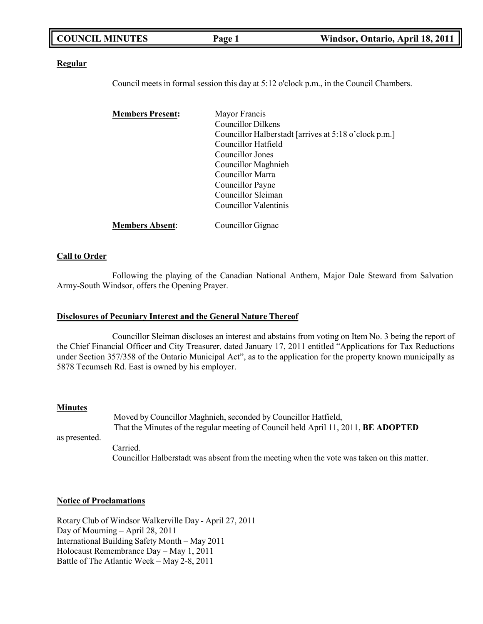| <b>COUNCIL MINUTES</b> | Page 1 | Windsor, Ontario, April 18, 2011 |
|------------------------|--------|----------------------------------|
|                        |        |                                  |

### **Regular**

Council meets in formal session this day at 5:12 o'clock p.m., in the Council Chambers.

| <b>Members Present:</b> | Mayor Francis                                         |
|-------------------------|-------------------------------------------------------|
|                         | Councillor Dilkens                                    |
|                         | Councillor Halberstadt [arrives at 5:18 o'clock p.m.] |
|                         | Councillor Hatfield                                   |
|                         | Councillor Jones                                      |
|                         | Councillor Maghnieh                                   |
|                         | Councillor Marra                                      |
|                         | Councillor Payne                                      |
|                         | Councillor Sleiman                                    |
|                         | Councillor Valentinis                                 |
| <b>Members Absent:</b>  | Councillor Gignac                                     |

## **Call to Order**

Following the playing of the Canadian National Anthem, Major Dale Steward from Salvation Army-South Windsor, offers the Opening Prayer.

### **Disclosures of Pecuniary Interest and the General Nature Thereof**

Councillor Sleiman discloses an interest and abstains from voting on Item No. 3 being the report of the Chief Financial Officer and City Treasurer, dated January 17, 2011 entitled "Applications for Tax Reductions under Section 357/358 of the Ontario Municipal Act", as to the application for the property known municipally as 5878 Tecumseh Rd. East is owned by his employer.

### **Minutes**

as presented. Moved by Councillor Maghnieh, seconded by Councillor Hatfield, That the Minutes of the regular meeting of Council held April 11, 2011, **BE ADOPTED** Carried. Councillor Halberstadt was absent from the meeting when the vote was taken on this matter.

### **Notice of Proclamations**

Rotary Club of Windsor Walkerville Day - April 27, 2011 Day of Mourning – April 28, 2011 International Building Safety Month – May 2011 Holocaust Remembrance Day – May 1, 2011 Battle of The Atlantic Week – May 2-8, 2011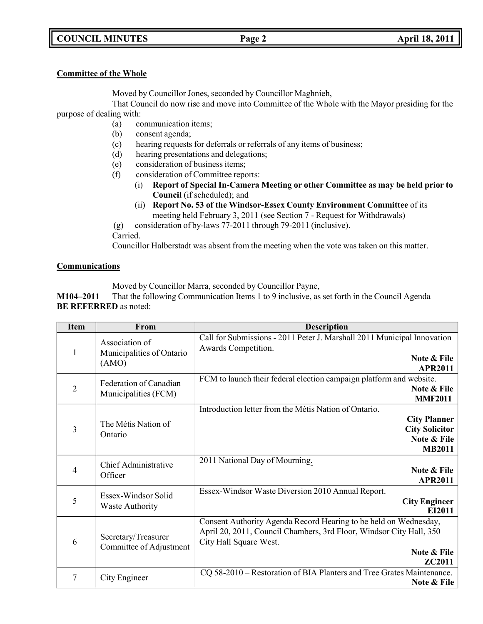## **COUNCIL MINUTES Page 2 April 18, 2011**

## **Committee of the Whole**

Moved by Councillor Jones, seconded by Councillor Maghnieh,

That Council do now rise and move into Committee of the Whole with the Mayor presiding for the purpose of dealing with:

- (a) communication items;
- (b) consent agenda;
- (c) hearing requests for deferrals or referrals of any items of business;
- (d) hearing presentations and delegations;
- (e) consideration of business items;
- (f) consideration of Committee reports:
	- (i) **Report of Special In-Camera Meeting or other Committee as may be held prior to Council** (if scheduled); and
	- (ii) **Report No. 53 of the Windsor-Essex County Environment Committee** of its meeting held February 3, 2011 (see Section 7 - Request for Withdrawals)
- (g) consideration of by-laws 77-2011 through 79-2011 (inclusive).

Carried.

Councillor Halberstadt was absent from the meeting when the vote was taken on this matter.

## **Communications**

Moved by Councillor Marra, seconded by Councillor Payne,

**M104–2011** That the following Communication Items 1 to 9 inclusive, as set forth in the Council Agenda **BE REFERRED** as noted:

| <b>Item</b>    | From                                                 | <b>Description</b>                                                                                                                                                                                |
|----------------|------------------------------------------------------|---------------------------------------------------------------------------------------------------------------------------------------------------------------------------------------------------|
| 1              | Association of<br>Municipalities of Ontario<br>(AMO) | Call for Submissions - 2011 Peter J. Marshall 2011 Municipal Innovation<br>Awards Competition.<br>Note & File<br><b>APR2011</b>                                                                   |
| $\overline{2}$ | Federation of Canadian<br>Municipalities (FCM)       | FCM to launch their federal election campaign platform and website.<br><b>Note &amp; File</b><br><b>MMF2011</b>                                                                                   |
| 3              | The Métis Nation of<br>Ontario                       | Introduction letter from the Métis Nation of Ontario.<br><b>City Planner</b><br><b>City Solicitor</b><br>Note & File<br><b>MB2011</b>                                                             |
| 4              | Chief Administrative<br>Officer                      | 2011 National Day of Mourning.<br>Note & File<br><b>APR2011</b>                                                                                                                                   |
| 5              | Essex-Windsor Solid<br><b>Waste Authority</b>        | Essex-Windsor Waste Diversion 2010 Annual Report.<br><b>City Engineer</b><br>EI2011                                                                                                               |
| 6              | Secretary/Treasurer<br>Committee of Adjustment       | Consent Authority Agenda Record Hearing to be held on Wednesday,<br>April 20, 2011, Council Chambers, 3rd Floor, Windsor City Hall, 350<br>City Hall Square West.<br>Note & File<br><b>ZC2011</b> |
| 7              | City Engineer                                        | CQ 58-2010 – Restoration of BIA Planters and Tree Grates Maintenance.<br>Note & File                                                                                                              |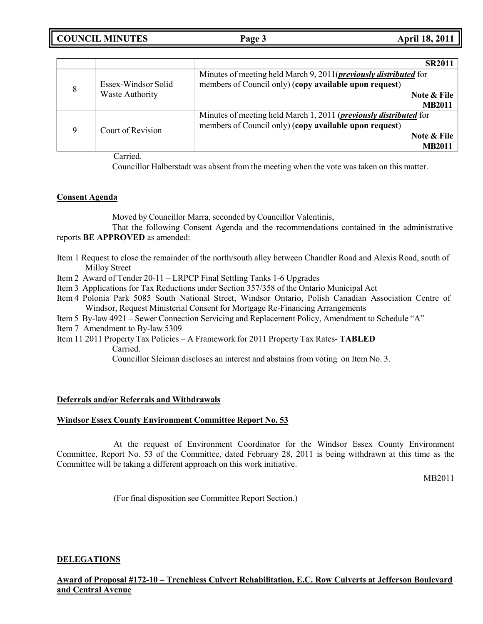|   |                        | <b>SR2011</b>                                                                                                                      |
|---|------------------------|------------------------------------------------------------------------------------------------------------------------------------|
| 8 | Essex-Windsor Solid    | Minutes of meeting held March 9, 2011( <i>previously distributed</i> for<br>members of Council only) (copy available upon request) |
|   | <b>Waste Authority</b> | Note & File                                                                                                                        |
|   |                        | <b>MB2011</b>                                                                                                                      |
|   |                        | Minutes of meeting held March 1, 2011 ( <i>previously distributed</i> for                                                          |
| 9 | Court of Revision      | members of Council only) (copy available upon request)                                                                             |
|   |                        | Note & File                                                                                                                        |
|   |                        | <b>MB2011</b>                                                                                                                      |

Carried.

Councillor Halberstadt was absent from the meeting when the vote was taken on this matter.

## **Consent Agenda**

Moved by Councillor Marra, seconded by Councillor Valentinis,

That the following Consent Agenda and the recommendations contained in the administrative reports **BE APPROVED** as amended:

- Item 1 Request to close the remainder of the north/south alley between Chandler Road and Alexis Road, south of Milloy Street
- Item 2 Award of Tender 20-11 LRPCP Final Settling Tanks 1-6 Upgrades
- Item 3 Applications for Tax Reductions under Section 357/358 of the Ontario Municipal Act
- Item 4 Polonia Park 5085 South National Street, Windsor Ontario, Polish Canadian Association Centre of Windsor, Request Ministerial Consent for Mortgage Re-Financing Arrangements
- Item 5 By-law 4921 Sewer Connection Servicing and Replacement Policy, Amendment to Schedule "A"
- Item 7 Amendment to By-law 5309
- Item 11 2011 Property Tax Policies A Framework for 2011 Property Tax Rates- **TABLED**

Carried.

Councillor Sleiman discloses an interest and abstains from voting on Item No. 3.

## **Deferrals and/or Referrals and Withdrawals**

## **Windsor Essex County Environment Committee Report No. 53**

At the request of Environment Coordinator for the Windsor Essex County Environment Committee, Report No. 53 of the Committee, dated February 28, 2011 is being withdrawn at this time as the Committee will be taking a different approach on this work initiative.

MB2011

(For final disposition see Committee Report Section.)

## **DELEGATIONS**

**Award of Proposal #172-10 – Trenchless Culvert Rehabilitation, E.C. Row Culverts at Jefferson Boulevard and Central Avenue**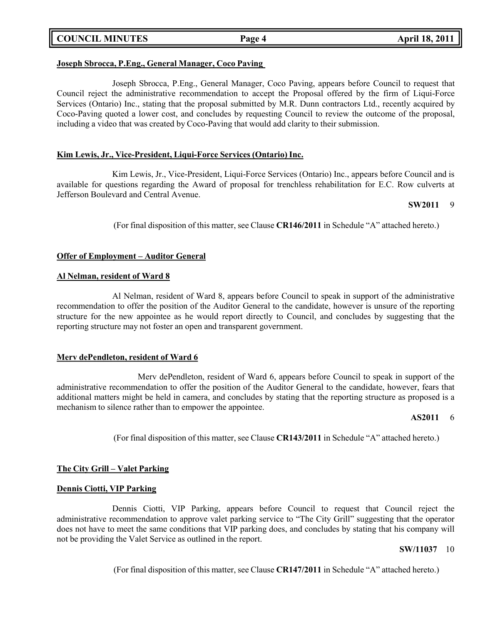**COUNCIL MINUTES Page 4 April 18, 2011**

## **Joseph Sbrocca, P.Eng., General Manager, Coco Paving**

Joseph Sbrocca, P.Eng., General Manager, Coco Paving, appears before Council to request that Council reject the administrative recommendation to accept the Proposal offered by the firm of Liqui-Force Services (Ontario) Inc., stating that the proposal submitted by M.R. Dunn contractors Ltd., recently acquired by Coco-Paving quoted a lower cost, and concludes by requesting Council to review the outcome of the proposal, including a video that was created by Coco-Paving that would add clarity to their submission.

## **Kim Lewis, Jr., Vice-President, Liqui-Force Services (Ontario) Inc.**

Kim Lewis, Jr., Vice-President, Liqui-Force Services (Ontario) Inc., appears before Council and is available for questions regarding the Award of proposal for trenchless rehabilitation for E.C. Row culverts at Jefferson Boulevard and Central Avenue.

#### **SW2011** 9

(For final disposition of this matter, see Clause **CR146/2011** in Schedule "A" attached hereto.)

## **Offer of Employment – Auditor General**

### **Al Nelman, resident of Ward 8**

Al Nelman, resident of Ward 8, appears before Council to speak in support of the administrative recommendation to offer the position of the Auditor General to the candidate, however is unsure of the reporting structure for the new appointee as he would report directly to Council, and concludes by suggesting that the reporting structure may not foster an open and transparent government.

### **Merv dePendleton, resident of Ward 6**

Merv dePendleton, resident of Ward 6, appears before Council to speak in support of the administrative recommendation to offer the position of the Auditor General to the candidate, however, fears that additional matters might be held in camera, and concludes by stating that the reporting structure as proposed is a mechanism to silence rather than to empower the appointee.

### **AS2011** 6

(For final disposition of this matter, see Clause **CR143/2011** in Schedule "A" attached hereto.)

## **The City Grill – Valet Parking**

### **Dennis Ciotti, VIP Parking**

Dennis Ciotti, VIP Parking, appears before Council to request that Council reject the administrative recommendation to approve valet parking service to "The City Grill" suggesting that the operator does not have to meet the same conditions that VIP parking does, and concludes by stating that his company will not be providing the Valet Service as outlined in the report.

### **SW/11037** 10

(For final disposition of this matter, see Clause **CR147/2011** in Schedule "A" attached hereto.)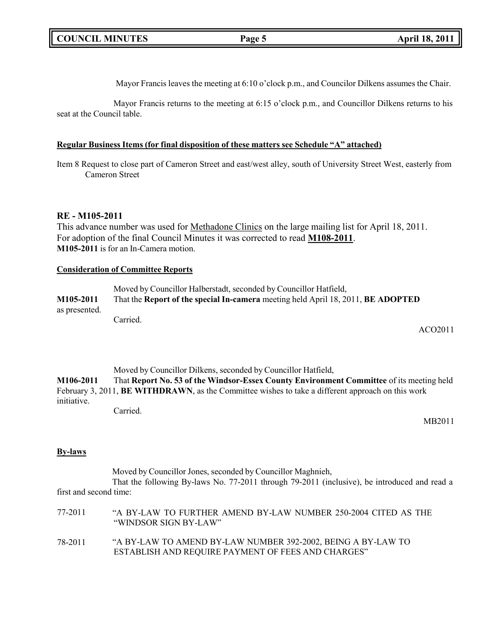Mayor Francis leaves the meeting at 6:10 o'clock p.m., and Councilor Dilkens assumes the Chair.

Mayor Francis returns to the meeting at 6:15 o'clock p.m., and Councillor Dilkens returns to his seat at the Council table.

## **Regular Business Items (for final disposition of these matters see Schedule "A" attached)**

Item 8 Request to close part of Cameron Street and east/west alley, south of University Street West, easterly from Cameron Street

## **RE - M105-2011**

This advance number was used for Methadone Clinics on the large mailing list for April 18, 2011. For adoption of the final Council Minutes it was corrected to read **M108-2011**. **M105-2011** is for an In-Camera motion.

## **Consideration of Committee Reports**

Moved by Councillor Halberstadt, seconded by Councillor Hatfield, **M105-2011** That the **Report of the special In-camera** meeting held April 18, 2011, **BE ADOPTED** as presented. Carried.

ACO2011

Moved by Councillor Dilkens, seconded by Councillor Hatfield,

**M106-2011** That **Report No. 53 of the Windsor-Essex County Environment Committee** of its meeting held February 3, 2011, **BE WITHDRAWN**, as the Committee wishes to take a different approach on this work initiative.

Carried.

MB2011

## **By-laws**

Moved by Councillor Jones, seconded by Councillor Maghnieh, That the following By-laws No. 77-2011 through 79-2011 (inclusive), be introduced and read a first and second time:

| 77-2011 | "A BY-LAW TO FURTHER AMEND BY-LAW NUMBER 250-2004 CITED AS THE<br>"WINDSOR SIGN BY-LAW"                            |
|---------|--------------------------------------------------------------------------------------------------------------------|
| 78-2011 | "A BY-LAW TO AMEND BY-LAW NUMBER 392-2002, BEING A BY-LAW TO<br>ESTABLISH AND REQUIRE PAYMENT OF FEES AND CHARGES" |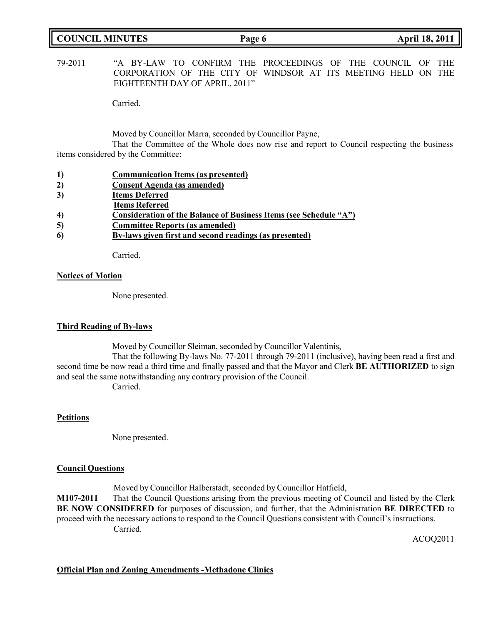| <b>COUNCIL MINUTES</b> | Page 6 | <b>April 18, 2011</b> |
|------------------------|--------|-----------------------|
|                        |        |                       |

79-2011 "A BY-LAW TO CONFIRM THE PROCEEDINGS OF THE COUNCIL OF THE CORPORATION OF THE CITY OF WINDSOR AT ITS MEETING HELD ON THE EIGHTEENTH DAY OF APRIL, 2011"

Carried.

Moved by Councillor Marra, seconded by Councillor Payne,

That the Committee of the Whole does now rise and report to Council respecting the business items considered by the Committee:

- **1) Communication Items (as presented)**
- **2) Consent Agenda (as amended)**
- **3) Items Deferred**
- **Items Referred**
- **4) Consideration of the Balance of Business Items (see Schedule "A")**
- **5) Committee Reports (as amended)**
- **6) By-laws given first and second readings (as presented)**

Carried.

## **Notices of Motion**

None presented.

## **Third Reading of By-laws**

Moved by Councillor Sleiman, seconded by Councillor Valentinis,

That the following By-laws No. 77-2011 through 79-2011 (inclusive), having been read a first and second time be now read a third time and finally passed and that the Mayor and Clerk **BE AUTHORIZED** to sign and seal the same notwithstanding any contrary provision of the Council.

Carried.

## **Petitions**

None presented.

## **Council Questions**

Moved by Councillor Halberstadt, seconded by Councillor Hatfield, **M107-2011** That the Council Questions arising from the previous meeting of Council and listed by the Clerk **BE NOW CONSIDERED** for purposes of discussion, and further, that the Administration **BE DIRECTED** to proceed with the necessary actions to respond to the Council Questions consistent with Council's instructions. Carried.

ACOQ2011

## **Official Plan and Zoning Amendments -Methadone Clinics**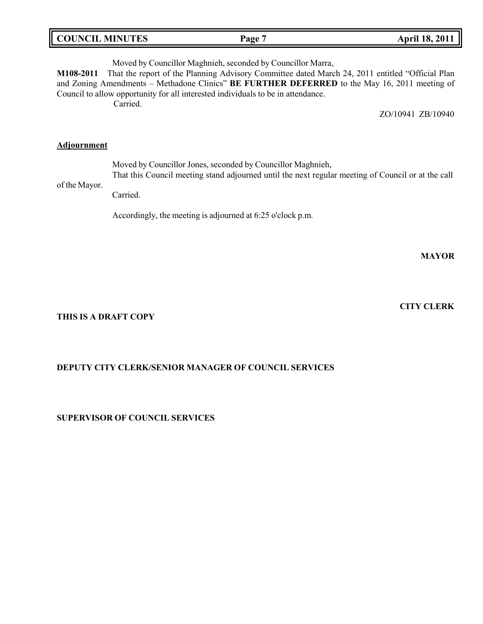| <b>COUNCIL MINUTES</b> | Page | <b>April 18, 2011</b> |
|------------------------|------|-----------------------|
|                        |      |                       |

Moved by Councillor Maghnieh, seconded by Councillor Marra, **M108-2011** That the report of the Planning Advisory Committee dated March 24, 2011 entitled "Official Plan and Zoning Amendments – Methadone Clinics" **BE FURTHER DEFERRED** to the May 16, 2011 meeting of Council to allow opportunity for all interested individuals to be in attendance. Carried. ZO/10941 ZB/10940 **Adjournment**

Moved by Councillor Jones, seconded by Councillor Maghnieh, That this Council meeting stand adjourned until the next regular meeting of Council or at the call

of the Mayor. Carried.

Accordingly, the meeting is adjourned at 6:25 o'clock p.m.

**MAYOR**

**THIS IS A DRAFT COPY**

## **DEPUTY CITY CLERK/SENIOR MANAGER OF COUNCIL SERVICES**

**SUPERVISOR OF COUNCIL SERVICES**

**CITY CLERK**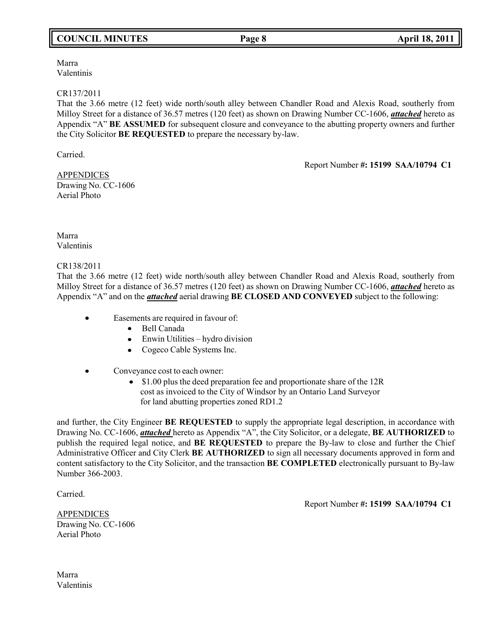## **COUNCIL MINUTES Page 8 April 18, 2011**

Marra Valentinis

## CR137/2011

That the 3.66 metre (12 feet) wide north/south alley between Chandler Road and Alexis Road, southerly from Milloy Street for a distance of 36.57 metres (120 feet) as shown on Drawing Number CC-1606, *attached* hereto as Appendix "A" **BE ASSUMED** for subsequent closure and conveyance to the abutting property owners and further the City Solicitor **BE REQUESTED** to prepare the necessary by-law.

Carried.

Report Number **#: 15199 SAA/10794 C1**

APPENDICES Drawing No. CC-1606 Aerial Photo

Marra Valentinis

CR138/2011

That the 3.66 metre (12 feet) wide north/south alley between Chandler Road and Alexis Road, southerly from Milloy Street for a distance of 36.57 metres (120 feet) as shown on Drawing Number CC-1606, *attached* hereto as Appendix "A" and on the *attached* aerial drawing **BE CLOSED AND CONVEYED** subject to the following:

- $\bullet$  Easements are required in favour of:
	- Bell Canada
	- Enwin Utilities hydro division
	- Cogeco Cable Systems Inc.
- Conveyance cost to each owner:
	- \$1.00 plus the deed preparation fee and proportionate share of the 12R cost as invoiced to the City of Windsor by an Ontario Land Surveyor for land abutting properties zoned RD1.2

and further, the City Engineer **BE REQUESTED** to supply the appropriate legal description, in accordance with Drawing No. CC-1606, *attached* hereto as Appendix "A", the City Solicitor, or a delegate, **BE AUTHORIZED** to publish the required legal notice, and **BE REQUESTED** to prepare the By-law to close and further the Chief Administrative Officer and City Clerk **BE AUTHORIZED** to sign all necessary documents approved in form and content satisfactory to the City Solicitor, and the transaction **BE COMPLETED** electronically pursuant to By-law Number 366-2003.

Carried.

Report Number **#: 15199 SAA/10794 C1**

APPENDICES Drawing No. CC-1606 Aerial Photo

Marra Valentinis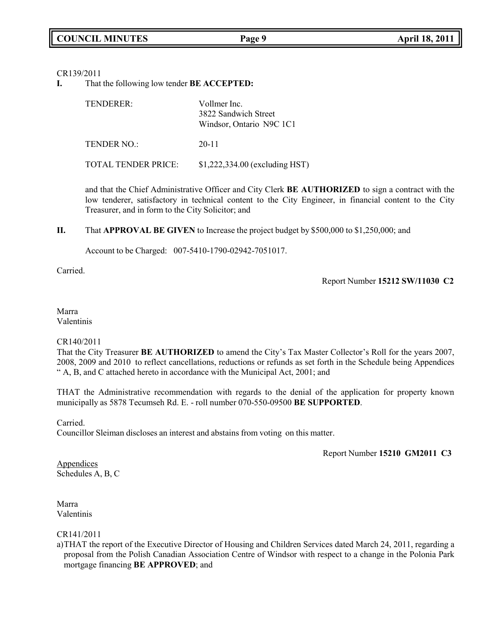CR139/2011

**I.** That the following low tender **BE ACCEPTED:**

| TENDERER:                  | Vollmer Inc.<br>3822 Sandwich Street<br>Windsor, Ontario N9C 1C1 |  |
|----------------------------|------------------------------------------------------------------|--|
| TENDER NO.:                | $20 - 11$                                                        |  |
| <b>TOTAL TENDER PRICE:</b> | \$1,222,334.00 (excluding HST)                                   |  |

and that the Chief Administrative Officer and City Clerk **BE AUTHORIZED** to sign a contract with the low tenderer, satisfactory in technical content to the City Engineer, in financial content to the City Treasurer, and in form to the City Solicitor; and

**II.** That **APPROVAL BE GIVEN** to Increase the project budget by \$500,000 to \$1,250,000; and

Account to be Charged: 007-5410-1790-02942-7051017.

Carried.

Report Number **15212 SW/11030 C2**

Marra Valentinis

## CR140/2011

That the City Treasurer **BE AUTHORIZED** to amend the City's Tax Master Collector's Roll for the years 2007, 2008, 2009 and 2010 to reflect cancellations, reductions or refunds as set forth in the Schedule being Appendices " A, B, and C attached hereto in accordance with the Municipal Act, 2001; and

THAT the Administrative recommendation with regards to the denial of the application for property known municipally as 5878 Tecumseh Rd. E. - roll number 070-550-09500 **BE SUPPORTED**.

Carried.

Councillor Sleiman discloses an interest and abstains from voting on this matter.

Report Number **15210 GM2011 C3**

**Appendices** Schedules A, B, C

Marra Valentinis

CR141/2011

a)THAT the report of the Executive Director of Housing and Children Services dated March 24, 2011, regarding a proposal from the Polish Canadian Association Centre of Windsor with respect to a change in the Polonia Park mortgage financing **BE APPROVED**; and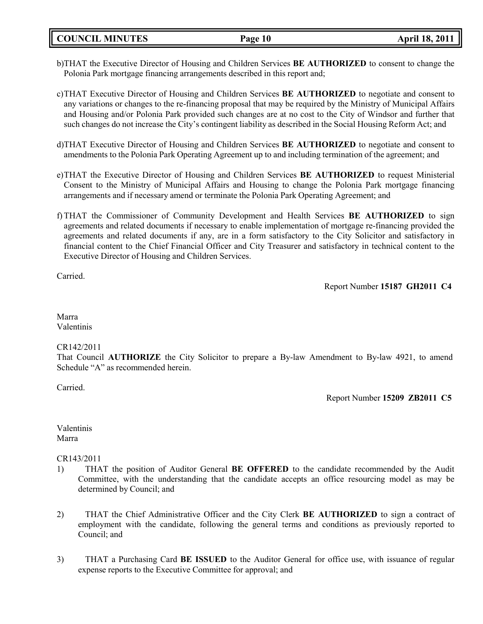**COUNCIL MINUTES Page 10 April 18, 2011**

- b)THAT the Executive Director of Housing and Children Services **BE AUTHORIZED** to consent to change the Polonia Park mortgage financing arrangements described in this report and;
- c)THAT Executive Director of Housing and Children Services **BE AUTHORIZED** to negotiate and consent to any variations or changes to the re-financing proposal that may be required by the Ministry of Municipal Affairs and Housing and/or Polonia Park provided such changes are at no cost to the City of Windsor and further that such changes do not increase the City's contingent liability as described in the Social Housing Reform Act; and
- d)THAT Executive Director of Housing and Children Services **BE AUTHORIZED** to negotiate and consent to amendments to the Polonia Park Operating Agreement up to and including termination of the agreement; and
- e)THAT the Executive Director of Housing and Children Services **BE AUTHORIZED** to request Ministerial Consent to the Ministry of Municipal Affairs and Housing to change the Polonia Park mortgage financing arrangements and if necessary amend or terminate the Polonia Park Operating Agreement; and
- f) THAT the Commissioner of Community Development and Health Services **BE AUTHORIZED** to sign agreements and related documents if necessary to enable implementation of mortgage re-financing provided the agreements and related documents if any, are in a form satisfactory to the City Solicitor and satisfactory in financial content to the Chief Financial Officer and City Treasurer and satisfactory in technical content to the Executive Director of Housing and Children Services.

Carried.

Report Number **15187 GH2011 C4**

Marra Valentinis

## CR142/2011

That Council **AUTHORIZE** the City Solicitor to prepare a By-law Amendment to By-law 4921, to amend Schedule "A" as recommended herein.

Carried.

Report Number **15209 ZB2011 C5**

Valentinis Marra

CR143/2011

- 1) THAT the position of Auditor General **BE OFFERED** to the candidate recommended by the Audit Committee, with the understanding that the candidate accepts an office resourcing model as may be determined by Council; and
- 2) THAT the Chief Administrative Officer and the City Clerk **BE AUTHORIZED** to sign a contract of employment with the candidate, following the general terms and conditions as previously reported to Council; and
- 3) THAT a Purchasing Card **BE ISSUED** to the Auditor General for office use, with issuance of regular expense reports to the Executive Committee for approval; and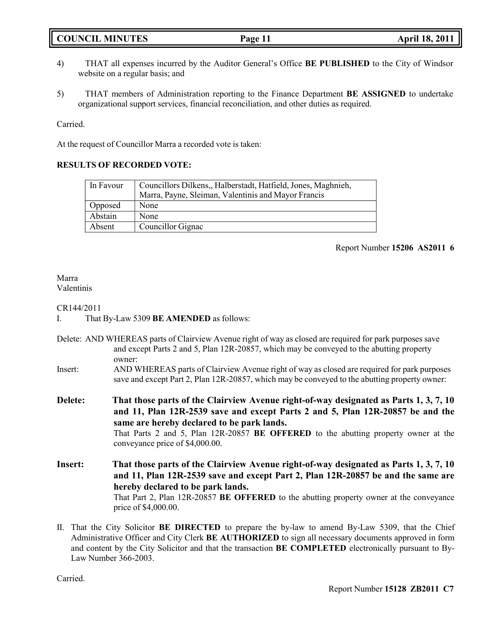|  | <b>COUNCIL MINUTES</b> |
|--|------------------------|
|--|------------------------|

- 4) THAT all expenses incurred by the Auditor General's Office **BE PUBLISHED** to the City of Windsor website on a regular basis; and
- 5) THAT members of Administration reporting to the Finance Department **BE ASSIGNED** to undertake organizational support services, financial reconciliation, and other duties as required.

Carried.

At the request of Councillor Marra a recorded vote is taken:

## **RESULTS OF RECORDED VOTE:**

| In Favour | Councillors Dilkens,, Halberstadt, Hatfield, Jones, Maghnieh,<br>Marra, Payne, Sleiman, Valentinis and Mayor Francis |
|-----------|----------------------------------------------------------------------------------------------------------------------|
| Opposed   | None                                                                                                                 |
| Abstain   | None                                                                                                                 |
| Absent    | Councillor Gignac                                                                                                    |

## Report Number **15206 AS2011 6**

#### Marra Valentinis

## CR144/2011

- I. That By-Law 5309 **BE AMENDED** as follows:
- Delete: AND WHEREAS parts of Clairview Avenue right of way as closed are required for park purposes save and except Parts 2 and 5, Plan 12R-20857, which may be conveyed to the abutting property owner:
- Insert: AND WHEREAS parts of Clairview Avenue right of way as closed are required for park purposes save and except Part 2, Plan 12R-20857, which may be conveyed to the abutting property owner:

**Delete: That those parts of the Clairview Avenue right-of-way designated as Parts 1, 3, 7, 10 and 11, Plan 12R-2539 save and except Parts 2 and 5, Plan 12R-20857 be and the same are hereby declared to be park lands.**

That Parts 2 and 5, Plan 12R-20857 **BE OFFERED** to the abutting property owner at the conveyance price of \$4,000.00.

**Insert: That those parts of the Clairview Avenue right-of-way designated as Parts 1, 3, 7, 10 and 11, Plan 12R-2539 save and except Part 2, Plan 12R-20857 be and the same are hereby declared to be park lands.** That Part 2, Plan 12R-20857 **BE OFFERED** to the abutting property owner at the conveyance price of \$4,000.00.

II. That the City Solicitor **BE DIRECTED** to prepare the by-law to amend By-Law 5309, that the Chief Administrative Officer and City Clerk **BE AUTHORIZED** to sign all necessary documents approved in form and content by the City Solicitor and that the transaction **BE COMPLETED** electronically pursuant to By-Law Number 366-2003.

Carried.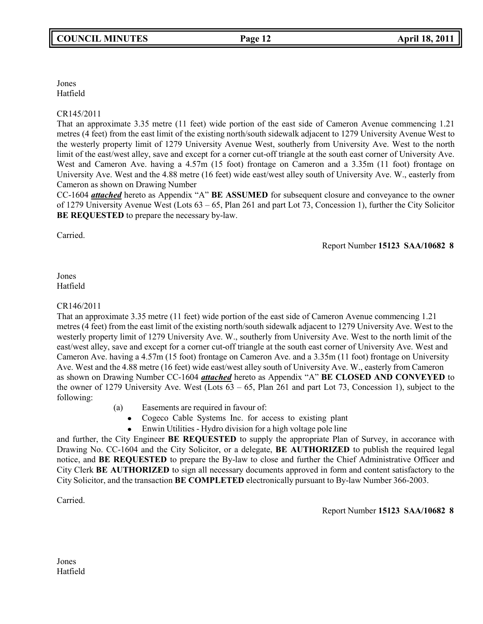Jones Hatfield

## CR145/2011

That an approximate 3.35 metre (11 feet) wide portion of the east side of Cameron Avenue commencing 1.21 metres (4 feet) from the east limit of the existing north/south sidewalk adjacent to 1279 University Avenue West to the westerly property limit of 1279 University Avenue West, southerly from University Ave. West to the north limit of the east/west alley, save and except for a corner cut-off triangle at the south east corner of University Ave. West and Cameron Ave. having a 4.57m (15 foot) frontage on Cameron and a 3.35m (11 foot) frontage on University Ave. West and the 4.88 metre (16 feet) wide east/west alley south of University Ave. W., easterly from Cameron as shown on Drawing Number

CC-1604 *attached* hereto as Appendix "A" **BE ASSUMED** for subsequent closure and conveyance to the owner of 1279 University Avenue West (Lots 63 – 65, Plan 261 and part Lot 73, Concession 1), further the City Solicitor **BE REQUESTED** to prepare the necessary by-law.

Carried.

Report Number **15123 SAA/10682 8**

Jones Hatfield

## CR146/2011

That an approximate 3.35 metre (11 feet) wide portion of the east side of Cameron Avenue commencing 1.21 metres (4 feet) from the east limit of the existing north/south sidewalk adjacent to 1279 University Ave. West to the westerly property limit of 1279 University Ave. W., southerly from University Ave. West to the north limit of the east/west alley, save and except for a corner cut-off triangle at the south east corner of University Ave. West and Cameron Ave. having a 4.57m (15 foot) frontage on Cameron Ave. and a 3.35m (11 foot) frontage on University Ave. West and the 4.88 metre (16 feet) wide east/west alley south of University Ave. W., easterly from Cameron as shown on Drawing Number CC-1604 *attached* hereto as Appendix "A" **BE CLOSED AND CONVEYED** to the owner of 1279 University Ave. West (Lots  $63 - 65$ , Plan 261 and part Lot 73, Concession 1), subject to the following:

- (a) Easements are required in favour of:
	- Cogeco Cable Systems Inc. for access to existing plant
	- Enwin Utilities Hydro division for a high voltage pole line

and further, the City Engineer **BE REQUESTED** to supply the appropriate Plan of Survey, in accorance with Drawing No. CC-1604 and the City Solicitor, or a delegate, **BE AUTHORIZED** to publish the required legal notice, and **BE REQUESTED** to prepare the By-law to close and further the Chief Administrative Officer and City Clerk **BE AUTHORIZED** to sign all necessary documents approved in form and content satisfactory to the City Solicitor, and the transaction **BE COMPLETED** electronically pursuant to By-law Number 366-2003.

Carried.

Report Number **15123 SAA/10682 8**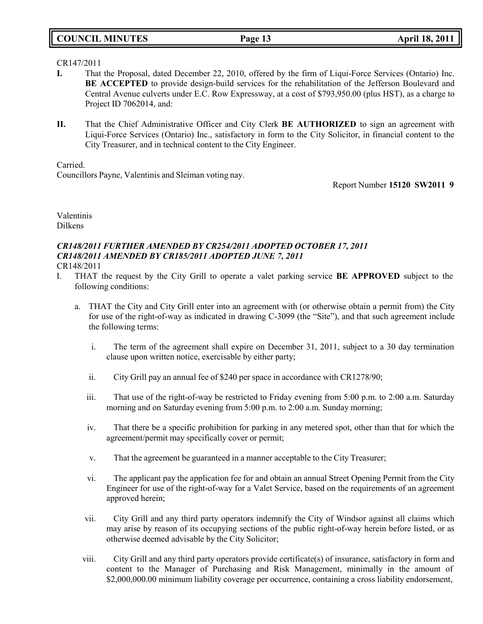## **COUNCIL MINUTES Page 13 April 18, 2011**

## CR147/2011

- **I.** That the Proposal, dated December 22, 2010, offered by the firm of Liqui-Force Services (Ontario) Inc. **BE ACCEPTED** to provide design-build services for the rehabilitation of the Jefferson Boulevard and Central Avenue culverts under E.C. Row Expressway, at a cost of \$793,950.00 (plus HST), as a charge to Project ID 7062014, and:
- **II.** That the Chief Administrative Officer and City Clerk **BE AUTHORIZED** to sign an agreement with Liqui-Force Services (Ontario) Inc., satisfactory in form to the City Solicitor, in financial content to the City Treasurer, and in technical content to the City Engineer.

Carried.

Councillors Payne, Valentinis and Sleiman voting nay.

Report Number **15120 SW2011 9**

Valentinis Dilkens

# *CR148/2011 FURTHER AMENDED BY CR254/2011 ADOPTED OCTOBER 17, 2011 CR148/2011 AMENDED BY CR185/2011 ADOPTED JUNE 7, 2011*

CR148/2011

- I. THAT the request by the City Grill to operate a valet parking service **BE APPROVED** subject to the following conditions:
	- a. THAT the City and City Grill enter into an agreement with (or otherwise obtain a permit from) the City for use of the right-of-way as indicated in drawing C-3099 (the "Site"), and that such agreement include the following terms:
		- i. The term of the agreement shall expire on December 31, 2011, subject to a 30 day termination clause upon written notice, exercisable by either party;
		- ii. City Grill pay an annual fee of \$240 per space in accordance with CR1278/90;
		- iii. That use of the right-of-way be restricted to Friday evening from 5:00 p.m. to 2:00 a.m. Saturday morning and on Saturday evening from 5:00 p.m. to 2:00 a.m. Sunday morning;
		- iv. That there be a specific prohibition for parking in any metered spot, other than that for which the agreement/permit may specifically cover or permit;
		- v. That the agreement be guaranteed in a manner acceptable to the City Treasurer;
		- vi. The applicant pay the application fee for and obtain an annual Street Opening Permit from the City Engineer for use of the right-of-way for a Valet Service, based on the requirements of an agreement approved herein;
		- vii. City Grill and any third party operators indemnify the City of Windsor against all claims which may arise by reason of its occupying sections of the public right-of-way herein before listed, or as otherwise deemed advisable by the City Solicitor;
		- viii. City Grill and any third party operators provide certificate(s) of insurance, satisfactory in form and content to the Manager of Purchasing and Risk Management, minimally in the amount of \$2,000,000.00 minimum liability coverage per occurrence, containing a cross liability endorsement,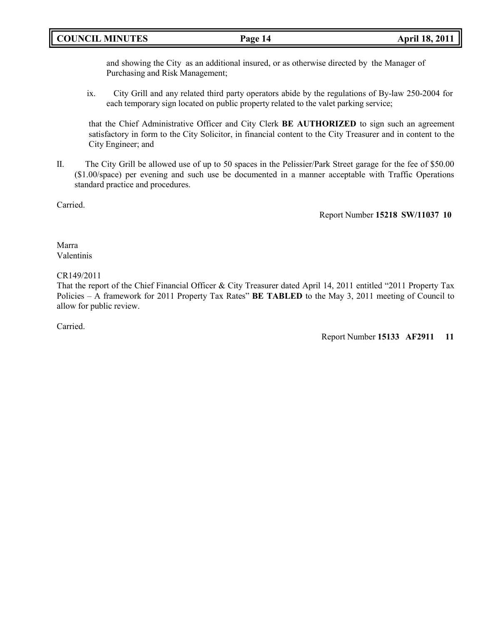## **COUNCIL MINUTES Page 14 April 18, 2011**

and showing the City as an additional insured, or as otherwise directed by the Manager of Purchasing and Risk Management;

ix. City Grill and any related third party operators abide by the regulations of By-law 250-2004 for each temporary sign located on public property related to the valet parking service;

that the Chief Administrative Officer and City Clerk **BE AUTHORIZED** to sign such an agreement satisfactory in form to the City Solicitor, in financial content to the City Treasurer and in content to the City Engineer; and

II. The City Grill be allowed use of up to 50 spaces in the Pelissier/Park Street garage for the fee of \$50.00 (\$1.00/space) per evening and such use be documented in a manner acceptable with Traffic Operations standard practice and procedures.

Carried.

Report Number **15218 SW/11037 10**

Marra Valentinis

## CR149/2011

That the report of the Chief Financial Officer & City Treasurer dated April 14, 2011 entitled "2011 Property Tax Policies – A framework for 2011 Property Tax Rates" **BE TABLED** to the May 3, 2011 meeting of Council to allow for public review.

Carried.

Report Number **15133 AF2911 11**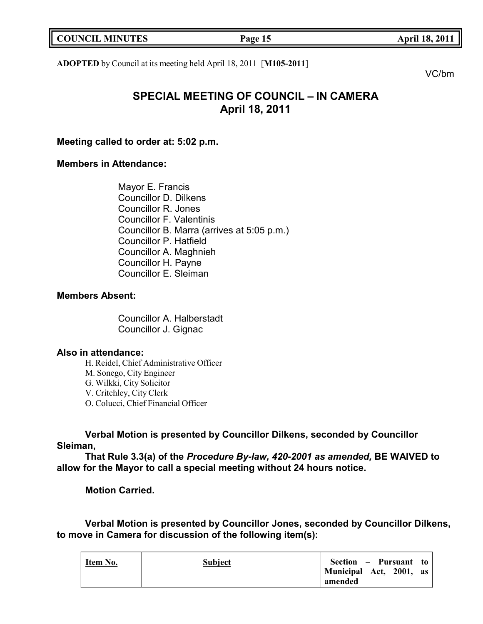| <b>COUNCIL MINUTES</b> | Page 15 |
|------------------------|---------|
|                        |         |

**COUNCIL MINUTES Page 15 April 18, 2011**

**ADOPTED** by Council at its meeting held April 18, 2011 [**M105-2011**]

VC/bm

# **SPECIAL MEETING OF COUNCIL – IN CAMERA April 18, 2011**

**Meeting called to order at: 5:02 p.m.**

## **Members in Attendance:**

Mayor E. Francis Councillor D. Dilkens Councillor R. Jones Councillor F. Valentinis Councillor B. Marra (arrives at 5:05 p.m.) Councillor P. Hatfield Councillor A. Maghnieh Councillor H. Payne Councillor E. Sleiman

## **Members Absent:**

Councillor A. Halberstadt Councillor J. Gignac

## **Also in attendance:**

H. Reidel, Chief Administrative Officer M. Sonego, City Engineer G. Wilkki, City Solicitor V. Critchley, City Clerk O. Colucci, Chief Financial Officer

**Verbal Motion is presented by Councillor Dilkens, seconded by Councillor Sleiman,**

**That Rule 3.3(a) of the** *Procedure By-law, 420-2001 as amended,* **BE WAIVED to allow for the Mayor to call a special meeting without 24 hours notice.**

**Motion Carried.**

**Verbal Motion is presented by Councillor Jones, seconded by Councillor Dilkens, to move in Camera for discussion of the following item(s):**

| Item No. | <b>Subject</b> | Section – Pursuant to   |
|----------|----------------|-------------------------|
|          |                | Municipal Act, 2001, as |
|          |                | amended                 |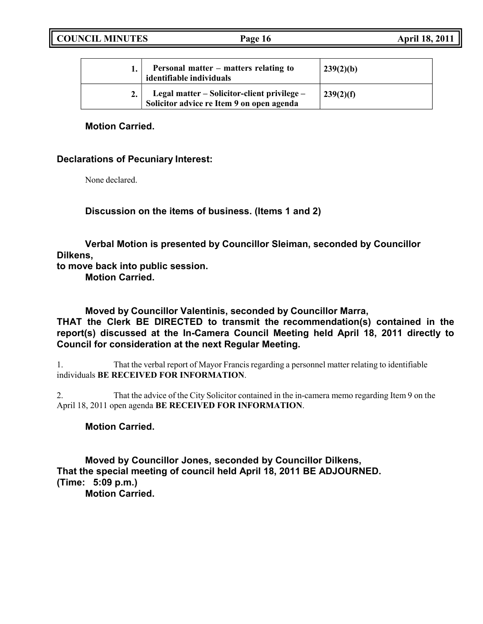| <b>COUNCIL MINUTES</b> | Page 16 | <b>April 18, 2011</b> |
|------------------------|---------|-----------------------|
|                        |         |                       |

| Personal matter – matters relating to<br>identifiable individuals                        | 239(2)(b) |
|------------------------------------------------------------------------------------------|-----------|
| Legal matter – Solicitor-client privilege –<br>Solicitor advice re Item 9 on open agenda | 239(2)(f) |

## **Motion Carried.**

## **Declarations of Pecuniary Interest:**

None declared.

**Discussion on the items of business. (Items 1 and 2)**

**Verbal Motion is presented by Councillor Sleiman, seconded by Councillor Dilkens,**

**to move back into public session.**

**Motion Carried.**

**Moved by Councillor Valentinis, seconded by Councillor Marra, THAT the Clerk BE DIRECTED to transmit the recommendation(s) contained in the report(s) discussed at the In-Camera Council Meeting held April 18, 2011 directly to Council for consideration at the next Regular Meeting.**

1. That the verbal report of Mayor Francis regarding a personnel matter relating to identifiable individuals **BE RECEIVED FOR INFORMATION**.

2. That the advice of the City Solicitor contained in the in-camera memo regarding Item 9 on the April 18, 2011 open agenda **BE RECEIVED FOR INFORMATION**.

## **Motion Carried.**

**Moved by Councillor Jones, seconded by Councillor Dilkens, That the special meeting of council held April 18, 2011 BE ADJOURNED. (Time: 5:09 p.m.)**

**Motion Carried.**